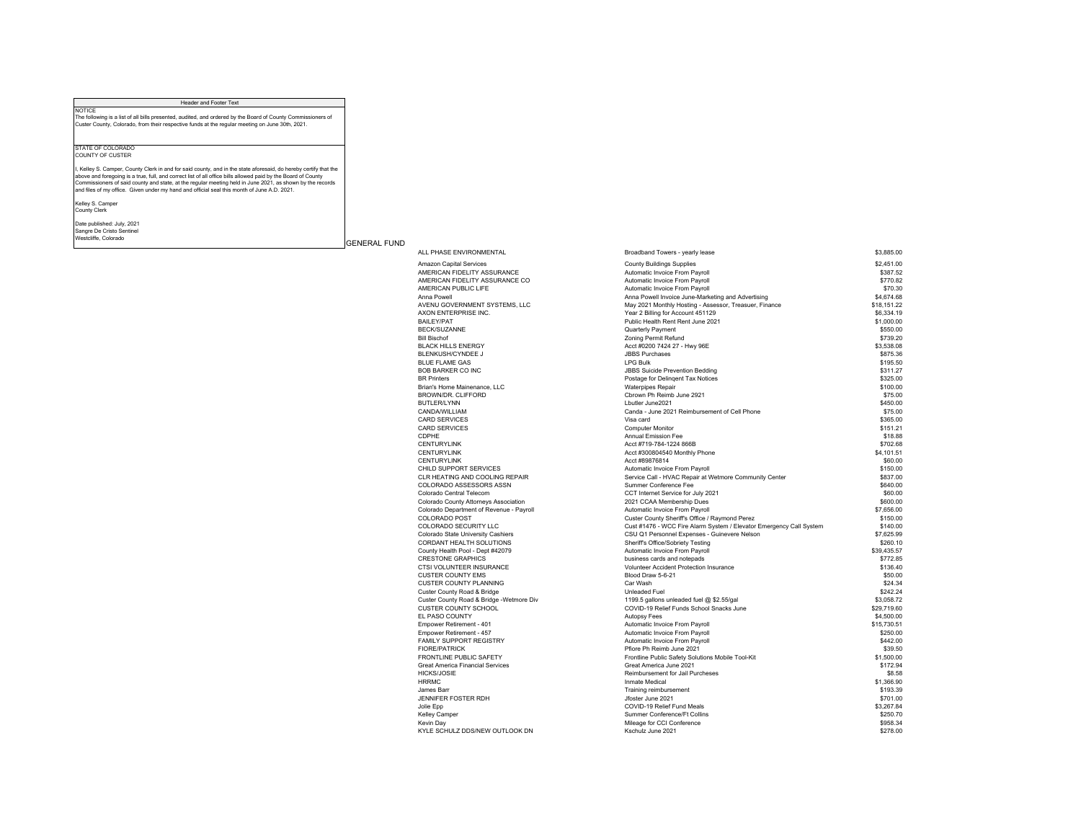## Header and Footer Text NOTICE The following is a list of all bills presented, audited, and ordered by the Board of County Commissioners of Custer County, Colorado, from their respective funds at the regular meeting on June 30th, 2021. STATE OF COLORADO COUNTY OF CUSTER I, Kelley S. Camper, County Clerk in and for said county, and in the state aforesaid, do hereby certify that the above and foregoing is a true, full, and correct list of all office bills allowed paid by the Board of County Commissioners of said county and state, at the regular meeting held in June 2021, as shown by the records and files of my office. Given under my hand and official seal this month of June A.D. 2021. Kelley S. Camper County Clerk Date published: July, 2021

Sangre De Cristo Sentinel Westcliffe, Colorado

## GENERAL FUND

| ALL PHASE ENVIRONMENTAL                  | Broadband Towers - yearly lease                                     | \$3,885.00  |
|------------------------------------------|---------------------------------------------------------------------|-------------|
| <b>Amazon Capital Services</b>           | <b>County Buildings Supplies</b>                                    | \$2,451.00  |
| AMERICAN FIDELITY ASSURANCE              | Automatic Invoice From Payroll                                      | \$387.52    |
| AMERICAN FIDELITY ASSURANCE CO           | Automatic Invoice From Payroll                                      | \$770.82    |
| AMERICAN PUBLIC LIFE                     | Automatic Invoice From Payroll                                      | \$70.30     |
| Anna Powell                              | Anna Powell Invoice June-Marketing and Advertising                  | \$4,674.68  |
| AVENU GOVERNMENT SYSTEMS, LLC            | May 2021 Monthly Hosting - Assessor, Treasuer, Finance              | \$18,151.22 |
| AXON ENTERPRISE INC.                     | Year 2 Billing for Account 451129                                   | \$6,334.19  |
| <b>BAILEY/PAT</b>                        | Public Health Rent Rent June 2021                                   | \$1,000.00  |
|                                          |                                                                     |             |
| <b>BECK/SUZANNE</b>                      | Quarterly Payment                                                   | \$550.00    |
| <b>Bill Bischof</b>                      | Zoning Permit Refund                                                | \$739.20    |
| <b>BLACK HILLS ENERGY</b>                | Acct #0200 7424 27 - Hwy 96E                                        | \$3,538.08  |
| <b>BLENKUSH/CYNDEE J</b>                 | <b>JBBS Purchases</b>                                               | \$875.36    |
| <b>BLUE FLAME GAS</b>                    | <b>LPG Bulk</b>                                                     | \$195.50    |
| <b>BOB BARKER CO INC</b>                 | <b>JBBS Suicide Prevention Bedding</b>                              | \$311.27    |
| <b>BR</b> Printers                       | Postage for Delingent Tax Notices                                   | \$325.00    |
| Brian's Home Mainenance, LLC             | <b>Waterpipes Repair</b>                                            | \$100.00    |
| BROWN/DR. CLIFFORD                       | Cbrown Ph Reimb June 2921                                           | \$75.00     |
| <b>BUTLER/LYNN</b>                       | Lbutler June2021                                                    | \$450.00    |
| CANDA/WILLIAM                            | Canda - June 2021 Reimbursement of Cell Phone                       | \$75.00     |
| <b>CARD SERVICES</b>                     | Visa card                                                           | \$365.00    |
| <b>CARD SERVICES</b>                     | <b>Computer Monitor</b>                                             | \$151.21    |
| CDPHE                                    | <b>Annual Emission Fee</b>                                          | \$18.88     |
| <b>CENTURYLINK</b>                       | Acct #719-784-1224 866B                                             | \$702.68    |
| <b>CENTURYLINK</b>                       | Acct #300804540 Monthly Phone                                       | \$4.101.51  |
| <b>CENTURYLINK</b>                       | Acct #89876814                                                      | \$60.00     |
| CHILD SUPPORT SERVICES                   | Automatic Invoice From Payroll                                      | \$150.00    |
| CLR HEATING AND COOLING REPAIR           | Service Call - HVAC Repair at Wetmore Community Center              | \$837.00    |
| COLORADO ASSESSORS ASSN                  | Summer Conference Fee                                               | \$640.00    |
| Colorado Central Telecom                 | CCT Internet Service for July 2021                                  | \$60.00     |
|                                          | 2021 CCAA Membership Dues                                           | \$600.00    |
| Colorado County Attorneys Association    |                                                                     | \$7,656.00  |
| Colorado Department of Revenue - Payroll | Automatic Invoice From Payroll                                      |             |
| <b>COLORADO POST</b>                     | Custer County Sheriff's Office / Raymond Perez                      | \$150.00    |
| COLORADO SECURITY LLC                    | Cust #1476 - WCC Fire Alarm System / Elevator Emergency Call System | \$140.00    |
| Colorado State University Cashiers       | CSU Q1 Personnel Expenses - Guinevere Nelson                        | \$7,625.99  |
| CORDANT HEALTH SOLUTIONS                 | Sheriff's Office/Sobriety Testing                                   | \$260.10    |
| County Health Pool - Dept #42079         | Automatic Invoice From Payroll                                      | \$39.435.57 |
| <b>CRESTONE GRAPHICS</b>                 | business cards and notepads                                         | \$772.85    |
| CTSI VOLUNTEER INSURANCE                 | Volunteer Accident Protection Insurance                             | \$136.40    |
| <b>CUSTER COUNTY EMS</b>                 | Blood Draw 5-6-21                                                   | \$50.00     |
| <b>CUSTER COUNTY PLANNING</b>            | Car Wash                                                            | \$24.34     |
| Custer County Road & Bridge              | Unleaded Fuel                                                       | \$242.24    |
| Custer County Road & Bridge -Wetmore Div | 1199.5 gallons unleaded fuel @ \$2.55/gal                           | \$3.058.72  |
| <b>CUSTER COUNTY SCHOOL</b>              | COVID-19 Relief Funds School Snacks June                            | \$29,719.60 |
| EL PASO COUNTY                           | <b>Autopsy Fees</b>                                                 | \$4,500.00  |
| Empower Retirement - 401                 | Automatic Invoice From Payroll                                      | \$15,730.51 |
| Empower Retirement - 457                 | Automatic Invoice From Payroll                                      | \$250.00    |
| FAMILY SUPPORT REGISTRY                  | Automatic Invoice From Payroll                                      | \$442.00    |
| <b>FIORE/PATRICK</b>                     | Pfiore Ph Reimb June 2021                                           | \$39.50     |
| <b>FRONTLINE PUBLIC SAFETY</b>           | Frontline Public Safety Solutions Mobile Tool-Kit                   | \$1,500.00  |
| <b>Great America Financial Services</b>  | Great America June 2021                                             | \$172.94    |
| <b>HICKS/JOSIE</b>                       | Reimbursement for Jail Purcheses                                    | \$8.58      |
| <b>HRRMC</b>                             | <b>Inmate Medical</b>                                               | \$1,366.90  |
| James Barr                               | Training reimbursement                                              | \$193.39    |
| JENNIFER FOSTER RDH                      | Jfoster June 2021                                                   | \$701.00    |
| Jolie Epp                                | COVID-19 Relief Fund Meals                                          | \$3,267.84  |
|                                          | Summer Conference/Ft Collins                                        | \$250.70    |
| Kelley Camper                            |                                                                     | \$958.34    |
| Kevin Day                                | Mileage for CCI Conference                                          |             |
| KYLE SCHULZ DDS/NEW OUTLOOK DN           | Kschulz June 2021                                                   | \$278.00    |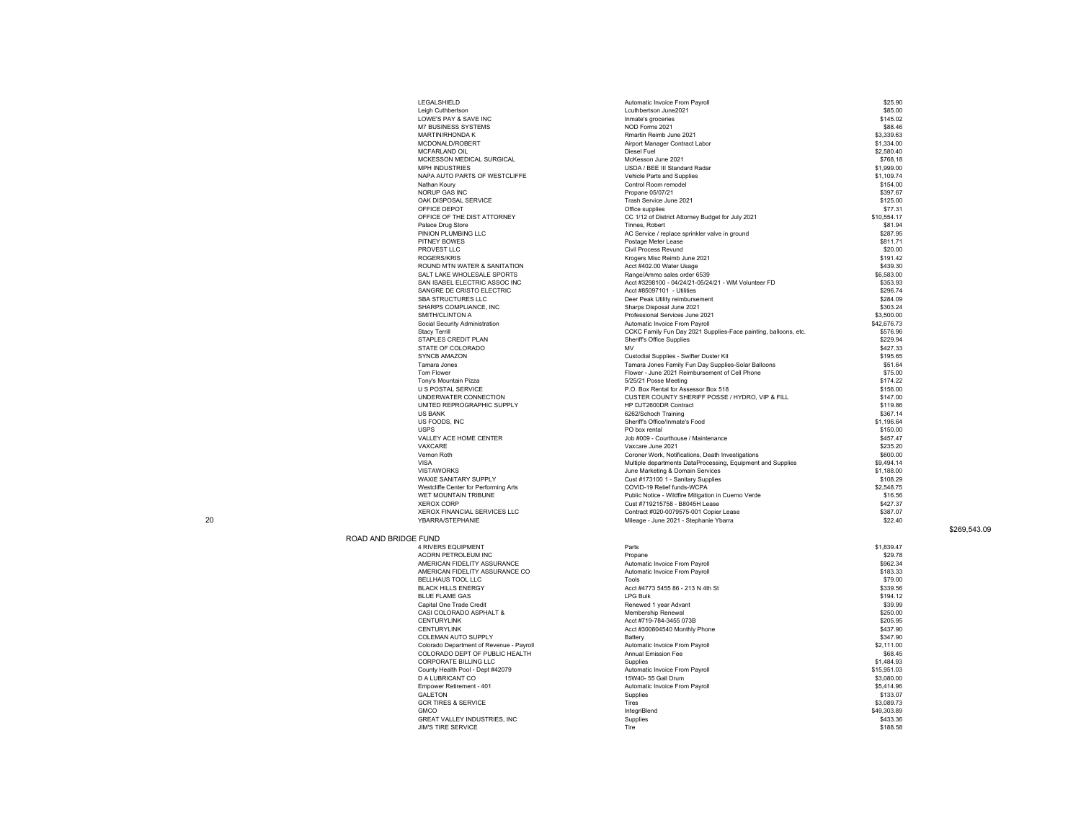| LEGALSHIELD                           | Automatic Invoice From Payroll                                  | \$25.90     |
|---------------------------------------|-----------------------------------------------------------------|-------------|
| Leigh Cuthbertson                     | Lcuthbertson June2021                                           | \$85.00     |
| LOWE'S PAY & SAVE INC                 | Inmate's groceries                                              | \$145.02    |
| <b>M7 BUSINESS SYSTEMS</b>            | NOD Forms 2021                                                  | \$88.46     |
| <b>MARTIN/RHONDA K</b>                | Rmartin Reimb June 2021                                         | \$3,339.63  |
| MCDONALD/ROBERT                       | Airport Manager Contract Labor                                  | \$1,334.00  |
| MCFARLAND OIL                         | Diesel Fuel                                                     | \$2,580.40  |
| MCKESSON MEDICAL SURGICAL             | McKesson June 2021                                              | \$768.18    |
| <b>MPH INDUSTRIES</b>                 | USDA / BEE III Standard Radar                                   | \$1,999.00  |
| NAPA AUTO PARTS OF WESTCLIFFE         | Vehicle Parts and Supplies                                      | \$1,109.74  |
|                                       | Control Room remodel                                            | \$154.00    |
| Nathan Koury                          |                                                                 |             |
| <b>NORUP GAS INC</b>                  | Propane 05/07/21                                                | \$397.67    |
| OAK DISPOSAL SERVICE                  | Trash Service June 2021                                         | \$125.00    |
| OFFICE DEPOT                          | Office supplies                                                 | \$77.31     |
| OFFICE OF THE DIST ATTORNEY           | CC 1/12 of District Attorney Budget for July 2021               | \$10.554.17 |
| Palace Drug Store                     | Tinnes, Robert                                                  | \$81.94     |
| PINION PLUMBING LLC                   | AC Service / replace sprinkler valve in ground                  | \$287.95    |
| PITNEY BOWES                          | Postage Meter Lease                                             | \$811.71    |
| PROVEST LLC                           | <b>Civil Process Revund</b>                                     | \$20.00     |
| <b>ROGERS/KRIS</b>                    | Krogers Misc Reimb June 2021                                    | \$191.42    |
| ROUND MTN WATER & SANITATION          | Acct #402.00 Water Usage                                        | \$439.30    |
| SALT LAKE WHOLESALE SPORTS            | Range/Ammo sales order 6539                                     | \$6,583.00  |
| SAN ISABEL ELECTRIC ASSOC INC         | Acct #3298100 - 04/24/21-05/24/21 - WM Volunteer FD             | \$353.93    |
| SANGRE DE CRISTO ELECTRIC             | Acct #85097101 - Utilities                                      | \$296.74    |
| SBA STRUCTURES LLC                    | Deer Peak Utility reimbursement                                 | \$284.09    |
| SHARPS COMPLIANCE, INC                | Sharps Disposal June 2021                                       | \$303.24    |
| SMITH/CLINTON A                       | Professional Services June 2021                                 | \$3,500.00  |
| Social Security Administration        | Automatic Invoice From Payroll                                  | \$42,676.73 |
| <b>Stacy Terrill</b>                  | CCKC Family Fun Day 2021 Supplies-Face painting, balloons, etc. | \$576.96    |
| STAPLES CREDIT PLAN                   | Sheriff's Office Supplies                                       | \$229.94    |
| STATE OF COLORADO                     | <b>MV</b>                                                       | \$427.33    |
| <b>SYNCB AMAZON</b>                   | Custodial Supplies - Swifter Duster Kit                         | \$195.65    |
| Tamara Jones                          | Tamara Jones Family Fun Day Supplies-Solar Balloons             | \$51.64     |
| Tom Flower                            |                                                                 | \$75.00     |
|                                       | Flower - June 2021 Reimbursement of Cell Phone                  | \$174.22    |
| Tony's Mountain Pizza                 | 5/25/21 Posse Meeting                                           |             |
| <b>U S POSTAL SERVICE</b>             | P.O. Box Rental for Assessor Box 518                            | \$156.00    |
| UNDERWATER CONNECTION                 | CUSTER COUNTY SHERIFF POSSE / HYDRO. VIP & FILL                 | \$147.00    |
| UNITED REPROGRAPHIC SUPPLY            | HP DJT2600DR Contract                                           | \$119.86    |
| <b>US BANK</b>                        | 6262/Schoch Training                                            | \$367.14    |
| US FOODS, INC                         | Sheriff's Office/Inmate's Food                                  | \$1,196.64  |
| <b>USPS</b>                           | PO box rental                                                   | \$150.00    |
| VALLEY ACE HOME CENTER                | Job #009 - Courthouse / Maintenance                             | \$457.47    |
| VAXCARE                               | Vaxcare June 2021                                               | \$235.20    |
| Vernon Roth                           | Coroner Work, Notifications, Death Investigations               | \$600.00    |
| <b>VISA</b>                           | Multiple departments DataProcessing, Equipment and Supplies     | \$9,494.14  |
| <b>VISTAWORKS</b>                     | June Marketing & Domain Services                                | \$1,188.00  |
| WAXIE SANITARY SUPPLY                 | Cust #173100 1 - Sanitary Supplies                              | \$108.29    |
| Westcliffe Center for Performing Arts | COVID-19 Relief funds-WCPA                                      | \$2.548.75  |
| WET MOUNTAIN TRIBUNE                  | Public Notice - Wildfire Mitigation in Cuerno Verde             | \$16.56     |
| <b>XEROX CORP</b>                     | Cust #719215758 - B8045H Lease                                  | \$427.37    |
| XEROX FINANCIAL SERVICES LLC          | Contract #020-0079575-001 Copier Lease                          | \$387.07    |
| <b>YBARRA/STEPHANIE</b>               | Mileage - June 2021 - Stephanie Ybarra                          | \$22.40     |
|                                       |                                                                 |             |
|                                       |                                                                 |             |
| ROAD AND BRIDGE FUND                  |                                                                 |             |
| 4 RIVERS EQUIPMENT                    | Parts                                                           | \$1,839.47  |
| ACORN PETROLEUM INC                   | Propane                                                         | \$29.78     |
| AMERICAN FIDELITY ASSURANCE           | Automatic Invoice From Payroll                                  | \$962.34    |

## \$269,543.09

| : голчо                                  |                                   |             |
|------------------------------------------|-----------------------------------|-------------|
| <b>4 RIVERS EQUIPMENT</b>                | Parts                             | \$1,839.47  |
| <b>ACORN PETROLEUM INC</b>               | Propane                           | \$29.78     |
| AMERICAN FIDELITY ASSURANCE              | Automatic Invoice From Payroll    | \$962.34    |
| AMERICAN FIDELITY ASSURANCE CO           | Automatic Invoice From Payroll    | \$183.33    |
| BELLHAUS TOOL LLC                        | Tools                             | \$79.00     |
| <b>BLACK HILLS ENERGY</b>                | Acct #4773 5455 86 - 213 N 4th St | \$339.56    |
| <b>BLUE FLAME GAS</b>                    | <b>LPG Bulk</b>                   | \$194.12    |
| Capital One Trade Credit                 | Renewed 1 year Advant             | \$39.99     |
| CASI COLORADO ASPHALT &                  | Membership Renewal                | \$250.00    |
| <b>CENTURYLINK</b>                       | Acct #719-784-3455 073B           | \$205.95    |
| <b>CENTURYLINK</b>                       | Acct #300804540 Monthly Phone     | \$437.90    |
| COLEMAN AUTO SUPPLY                      | Battery                           | \$347.90    |
| Colorado Department of Revenue - Payroll | Automatic Invoice From Payroll    | \$2,111.00  |
| COLORADO DEPT OF PUBLIC HEALTH           | Annual Emission Fee               | \$68.45     |
| CORPORATE BILLING LLC                    | Supplies                          | \$1,484.93  |
| County Health Pool - Dept #42079         | Automatic Invoice From Payroll    | \$15,951.03 |
| <b>D A LUBRICANT CO</b>                  | 15W40- 55 Gall Drum               | \$3,080,00  |
| Empower Retirement - 401                 | Automatic Invoice From Payroll    | \$5,414.96  |
| <b>GAI FTON</b>                          | Supplies                          | \$133.07    |
| <b>GCR TIRES &amp; SERVICE</b>           | <b>Tires</b>                      | \$3,089.73  |
| <b>GMCO</b>                              | IntegriBlend                      | \$49,303.89 |
| <b>GREAT VALLEY INDUSTRIES, INC</b>      | Supplies                          | \$433.36    |
| <b>JIM'S TIRE SERVICE</b>                | Tire                              | \$188.58    |